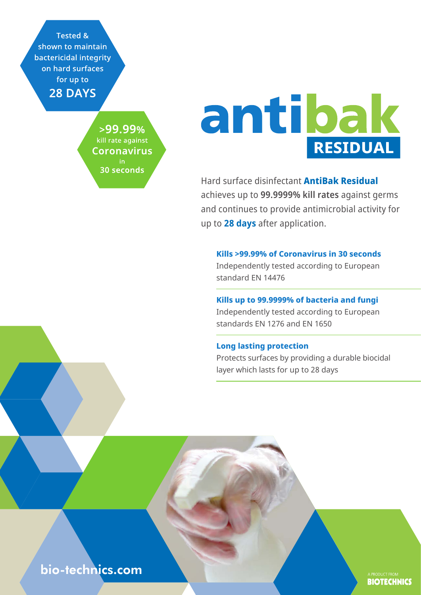**Tested &** shown to maintain bactericidal integrity on hard surfaces for up to **28 DAYS** 

> $>99.99\%$ kill rate against **Coronavirus** 30 seconds

# antibak RESIDUAL

Hard surface disinfectant **AntiBak Residual** achieves up to **99.9999% kill rates** against germs and continues to provide antimicrobial activity for up to **28 days** after application.

**Kills >99.99% of Coronavirus in 30 seconds** Independently tested according to European standard EN 14476

**Kills up to 99.9999% of bacteria and fungi** Independently tested according to European

standards EN 1276 and EN 1650

#### **Long lasting protection**

Protects surfaces by providing a durable biocidal layer which lasts for up to 28 days

# bio-technics.com